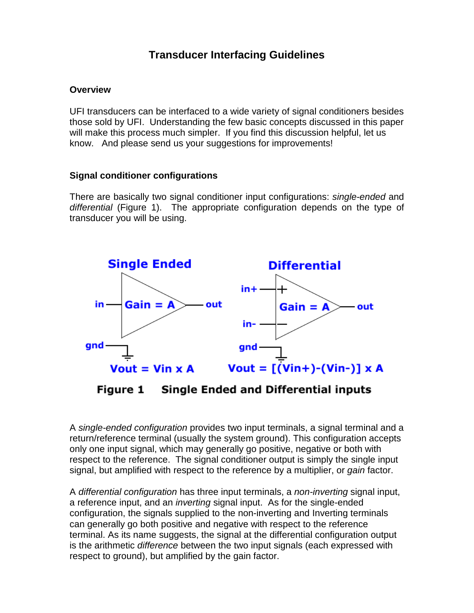# **Transducer Interfacing Guidelines**

#### **Overview**

UFI transducers can be interfaced to a wide variety of signal conditioners besides those sold by UFI. Understanding the few basic concepts discussed in this paper will make this process much simpler. If you find this discussion helpful, let us know. And please send us your suggestions for improvements!

## **Signal conditioner configurations**

There are basically two signal conditioner input configurations: single-ended and differential (Figure 1). The appropriate configuration depends on the type of transducer you will be using.



**Single Ended and Differential inputs** Figure 1

A single-ended configuration provides two input terminals, a signal terminal and a return/reference terminal (usually the system ground). This configuration accepts only one input signal, which may generally go positive, negative or both with respect to the reference. The signal conditioner output is simply the single input signal, but amplified with respect to the reference by a multiplier, or *gain* factor.

A differential configuration has three input terminals, a non-inverting signal input, a reference input, and an *inverting* signal input. As for the single-ended configuration, the signals supplied to the non-inverting and Inverting terminals can generally go both positive and negative with respect to the reference terminal. As its name suggests, the signal at the differential configuration output is the arithmetic difference between the two input signals (each expressed with respect to ground), but amplified by the gain factor.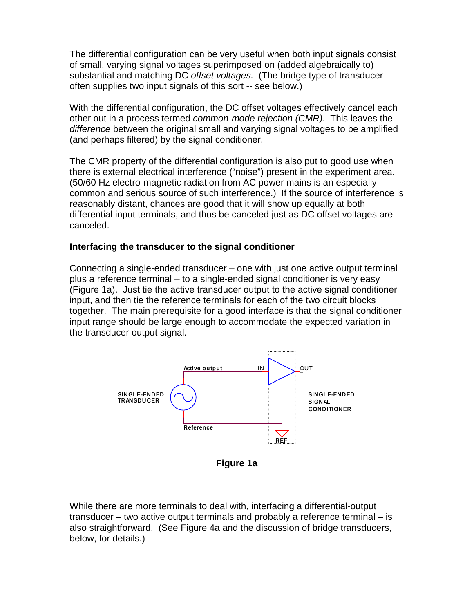The differential configuration can be very useful when both input signals consist of small, varying signal voltages superimposed on (added algebraically to) substantial and matching DC offset voltages. (The bridge type of transducer often supplies two input signals of this sort -- see below.)

With the differential configuration, the DC offset voltages effectively cancel each other out in a process termed common-mode rejection (CMR). This leaves the difference between the original small and varying signal voltages to be amplified (and perhaps filtered) by the signal conditioner.

The CMR property of the differential configuration is also put to good use when there is external electrical interference ("noise") present in the experiment area. (50/60 Hz electro-magnetic radiation from AC power mains is an especially common and serious source of such interference.) If the source of interference is reasonably distant, chances are good that it will show up equally at both differential input terminals, and thus be canceled just as DC offset voltages are canceled.

## **Interfacing the transducer to the signal conditioner**

Connecting a single-ended transducer – one with just one active output terminal plus a reference terminal – to a single-ended signal conditioner is very easy (Figure 1a). Just tie the active transducer output to the active signal conditioner input, and then tie the reference terminals for each of the two circuit blocks together. The main prerequisite for a good interface is that the signal conditioner input range should be large enough to accommodate the expected variation in the transducer output signal.



**Figure 1a** 

While there are more terminals to deal with, interfacing a differential-output transducer – two active output terminals and probably a reference terminal – is also straightforward. (See Figure 4a and the discussion of bridge transducers, below, for details.)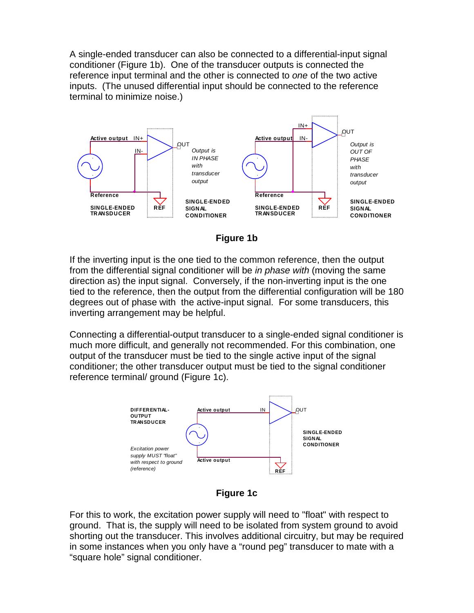A single-ended transducer can also be connected to a differential-input signal conditioner (Figure 1b). One of the transducer outputs is connected the reference input terminal and the other is connected to one of the two active inputs. (The unused differential input should be connected to the reference terminal to minimize noise.)



**Figure 1b**

If the inverting input is the one tied to the common reference, then the output from the differential signal conditioner will be in phase with (moving the same direction as) the input signal. Conversely, if the non-inverting input is the one tied to the reference, then the output from the differential configuration will be 180 degrees out of phase with the active-input signal. For some transducers, this inverting arrangement may be helpful.

Connecting a differential-output transducer to a single-ended signal conditioner is much more difficult, and generally not recommended. For this combination, one output of the transducer must be tied to the single active input of the signal conditioner; the other transducer output must be tied to the signal conditioner reference terminal/ ground (Figure 1c).



**Figure 1c** 

For this to work, the excitation power supply will need to "float" with respect to ground. That is, the supply will need to be isolated from system ground to avoid shorting out the transducer. This involves additional circuitry, but may be required in some instances when you only have a "round peg" transducer to mate with a "square hole" signal conditioner.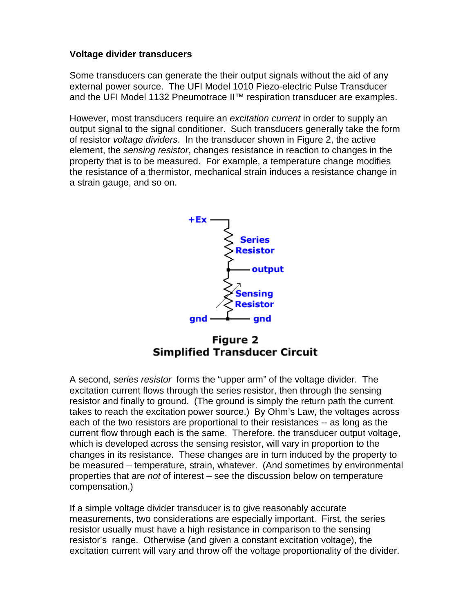## **Voltage divider transducers**

Some transducers can generate the their output signals without the aid of any external power source. The UFI Model 1010 Piezo-electric Pulse Transducer and the UFI Model 1132 Pneumotrace II™ respiration transducer are examples.

However, most transducers require an excitation current in order to supply an output signal to the signal conditioner. Such transducers generally take the form of resistor voltage dividers. In the transducer shown in Figure 2, the active element, the sensing resistor, changes resistance in reaction to changes in the property that is to be measured. For example, a temperature change modifies the resistance of a thermistor, mechanical strain induces a resistance change in a strain gauge, and so on.



Figure 2 **Simplified Transducer Circuit** 

A second, series resistor forms the "upper arm" of the voltage divider. The excitation current flows through the series resistor, then through the sensing resistor and finally to ground. (The ground is simply the return path the current takes to reach the excitation power source.) By Ohm's Law, the voltages across each of the two resistors are proportional to their resistances -- as long as the current flow through each is the same. Therefore, the transducer output voltage, which is developed across the sensing resistor, will vary in proportion to the changes in its resistance. These changes are in turn induced by the property to be measured – temperature, strain, whatever. (And sometimes by environmental properties that are not of interest – see the discussion below on temperature compensation.)

If a simple voltage divider transducer is to give reasonably accurate measurements, two considerations are especially important. First, the series resistor usually must have a high resistance in comparison to the sensing resistor's range. Otherwise (and given a constant excitation voltage), the excitation current will vary and throw off the voltage proportionality of the divider.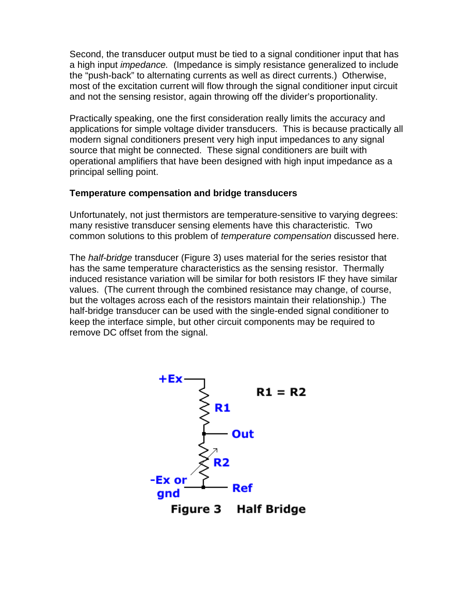Second, the transducer output must be tied to a signal conditioner input that has a high input impedance. (Impedance is simply resistance generalized to include the "push-back" to alternating currents as well as direct currents.) Otherwise, most of the excitation current will flow through the signal conditioner input circuit and not the sensing resistor, again throwing off the divider's proportionality.

Practically speaking, one the first consideration really limits the accuracy and applications for simple voltage divider transducers. This is because practically all modern signal conditioners present very high input impedances to any signal source that might be connected. These signal conditioners are built with operational amplifiers that have been designed with high input impedance as a principal selling point.

#### **Temperature compensation and bridge transducers**

Unfortunately, not just thermistors are temperature-sensitive to varying degrees: many resistive transducer sensing elements have this characteristic. Two common solutions to this problem of temperature compensation discussed here.

The *half-bridge* transducer (Figure 3) uses material for the series resistor that has the same temperature characteristics as the sensing resistor. Thermally induced resistance variation will be similar for both resistors IF they have similar values. (The current through the combined resistance may change, of course, but the voltages across each of the resistors maintain their relationship.) The half-bridge transducer can be used with the single-ended signal conditioner to keep the interface simple, but other circuit components may be required to remove DC offset from the signal.



Figure 3 **Half Bridge**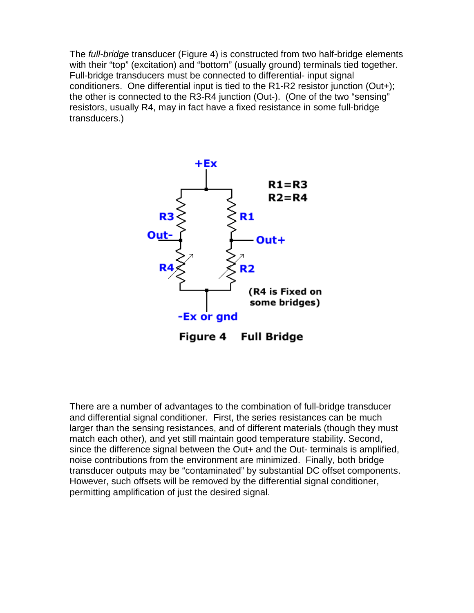The *full-bridge* transducer (Figure 4) is constructed from two half-bridge elements with their "top" (excitation) and "bottom" (usually ground) terminals tied together. Full-bridge transducers must be connected to differential- input signal conditioners. One differential input is tied to the R1-R2 resistor junction (Out+); the other is connected to the R3-R4 junction (Out-). (One of the two "sensing" resistors, usually R4, may in fact have a fixed resistance in some full-bridge transducers.)



There are a number of advantages to the combination of full-bridge transducer and differential signal conditioner. First, the series resistances can be much larger than the sensing resistances, and of different materials (though they must match each other), and yet still maintain good temperature stability. Second, since the difference signal between the Out+ and the Out- terminals is amplified, noise contributions from the environment are minimized. Finally, both bridge transducer outputs may be "contaminated" by substantial DC offset components. However, such offsets will be removed by the differential signal conditioner, permitting amplification of just the desired signal.